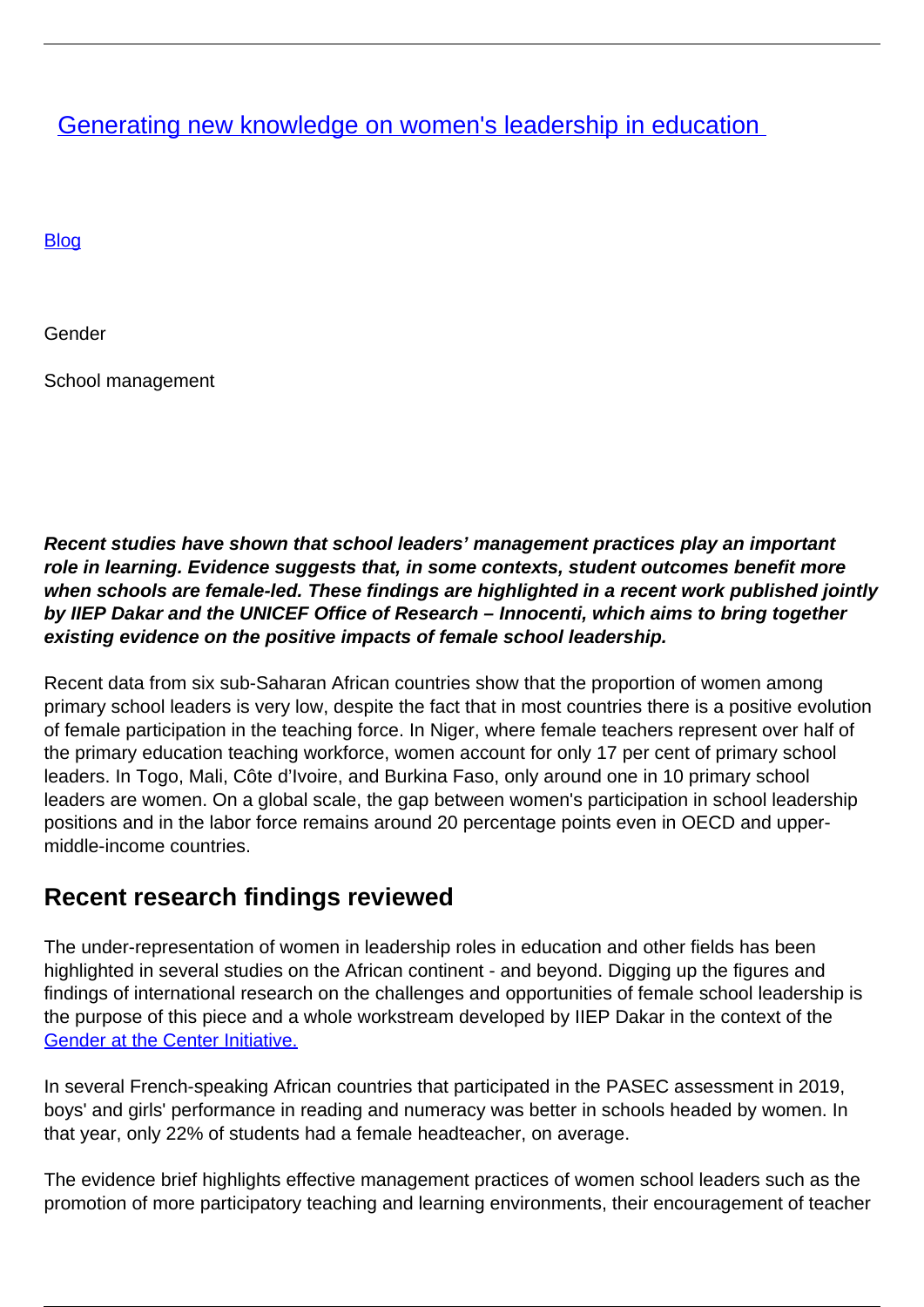**[Generating new knowledge on women's leadership in education](/en/blog/generating-new-knowledge-on-womens-leadership-in-education)** 

**[Blog](/en/taxonomy/term/5)** 

Gender

School management

**Recent studies have shown that school leaders' management practices play an important role in learning. Evidence suggests that, in some contexts, student outcomes benefit more when schools are female-led. These findings are highlighted in a recent work published jointly by IIEP Dakar and the UNICEF Office of Research – Innocenti, which aims to bring together existing evidence on the positive impacts of female school leadership.**

Recent data from six sub-Saharan African countries show that the proportion of women among primary school leaders is very low, despite the fact that in most countries there is a positive evolution of female participation in the teaching force. In Niger, where female teachers represent over half of the primary education teaching workforce, women account for only 17 per cent of primary school leaders. In Togo, Mali, Côte d'Ivoire, and Burkina Faso, only around one in 10 primary school leaders are women. On a global scale, the gap between women's participation in school leadership positions and in the labor force remains around 20 percentage points even in OECD and uppermiddle-income countries.

## **Recent research findings reviewed**

The under-representation of women in leadership roles in education and other fields has been highlighted in several studies on the African continent - and beyond. Digging up the figures and findings of international research on the challenges and opportunities of female school leadership is the purpose of this piece and a whole workstream developed by IIEP Dakar in the context of the [Gender at the Center Initiative.](https://dakar.iiep.unesco.org/en/programs/gender-centre-initiative-gci)

In several French-speaking African countries that participated in the PASEC assessment in 2019, boys' and girls' performance in reading and numeracy was better in schools headed by women. In that year, only 22% of students had a female headteacher, on average.

The evidence brief highlights effective management practices of women school leaders such as the promotion of more participatory teaching and learning environments, their encouragement of teacher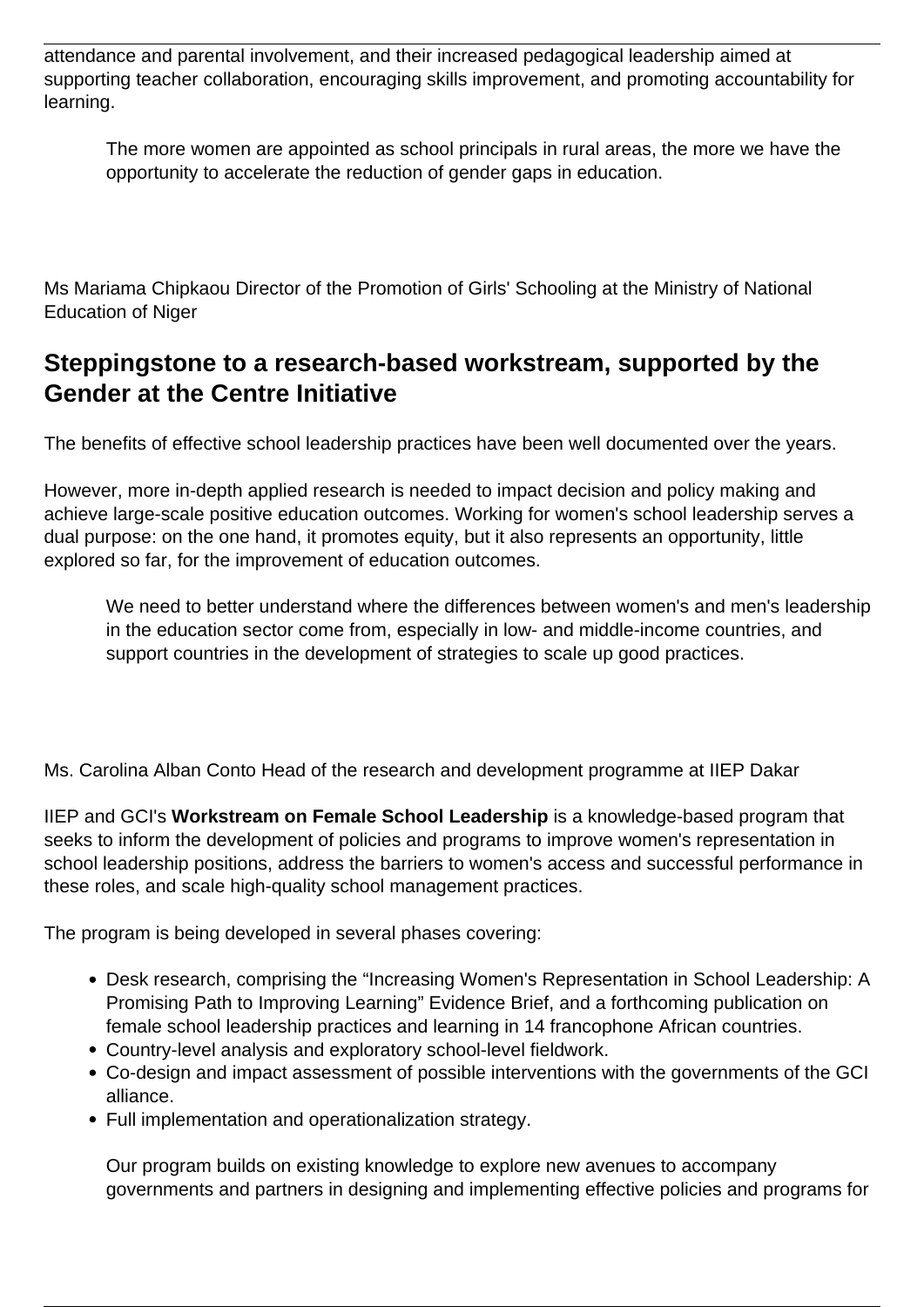attendance and parental involvement, and their increased pedagogical leadership aimed at supporting teacher collaboration, encouraging skills improvement, and promoting accountability for learning.

The more women are appointed as school principals in rural areas, the more we have the opportunity to accelerate the reduction of gender gaps in education.

Ms Mariama Chipkaou Director of the Promotion of Girls' Schooling at the Ministry of National Education of Niger

## **Steppingstone to a research-based workstream, supported by the Gender at the Centre Initiative**

The benefits of effective school leadership practices have been well documented over the years.

However, more in-depth applied research is needed to impact decision and policy making and achieve large-scale positive education outcomes. Working for women's school leadership serves a dual purpose: on the one hand, it promotes equity, but it also represents an opportunity, little explored so far, for the improvement of education outcomes.

We need to better understand where the differences between women's and men's leadership in the education sector come from, especially in low- and middle-income countries, and support countries in the development of strategies to scale up good practices.

Ms. Carolina Alban Conto Head of the research and development programme at IIEP Dakar

IIEP and GCI's **Workstream on Female School Leadership** is a knowledge-based program that seeks to inform the development of policies and programs to improve women's representation in school leadership positions, address the barriers to women's access and successful performance in these roles, and scale high-quality school management practices.

The program is being developed in several phases covering:

- Desk research, comprising the "Increasing Women's Representation in School Leadership: A Promising Path to Improving Learning" Evidence Brief, and a forthcoming publication on female school leadership practices and learning in 14 francophone African countries.
- Country-level analysis and exploratory school-level fieldwork.
- Co-design and impact assessment of possible interventions with the governments of the GCI alliance.
- Full implementation and operationalization strategy.

Our program builds on existing knowledge to explore new avenues to accompany governments and partners in designing and implementing effective policies and programs for